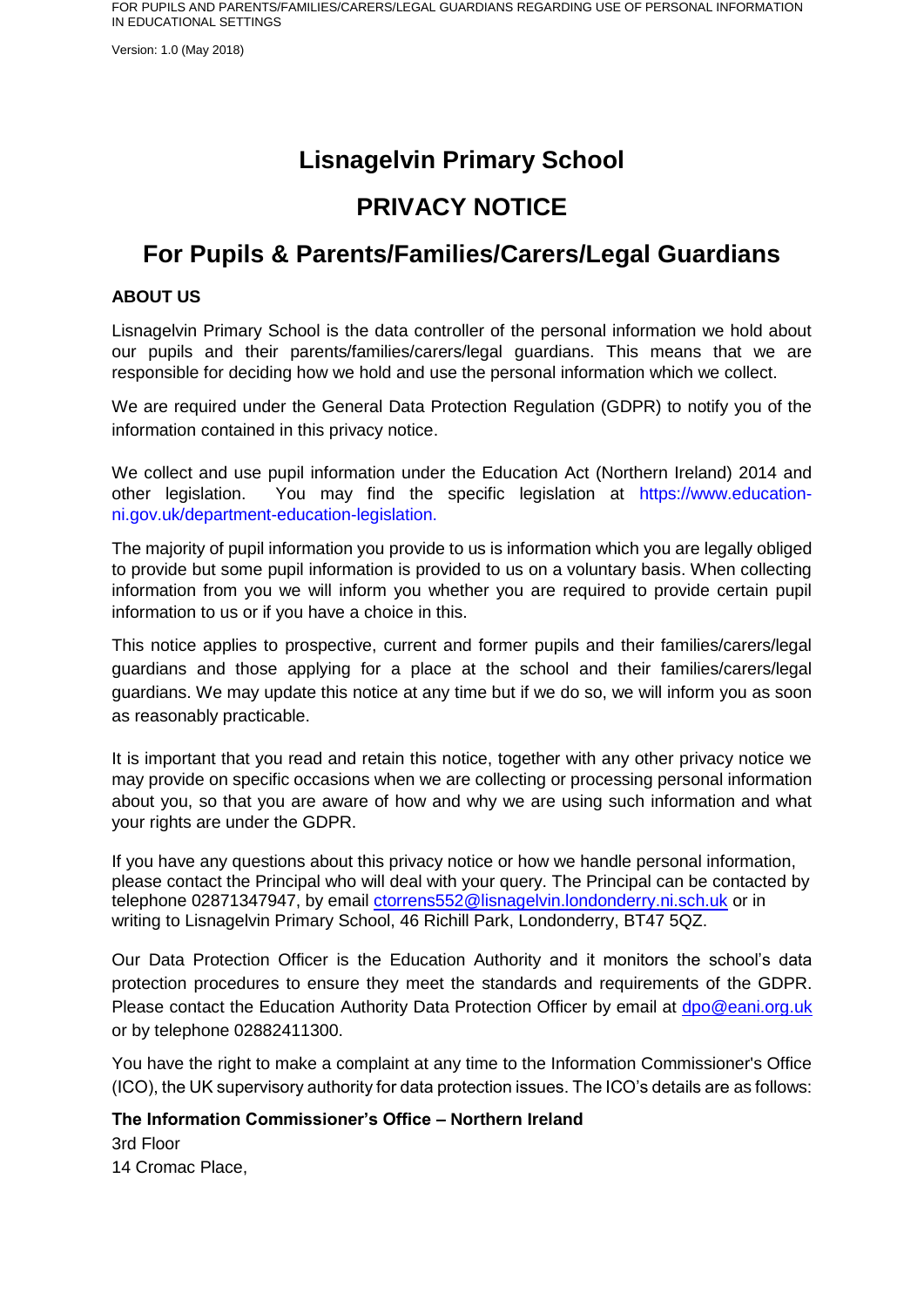Version: 1.0 (May 2018)

# **Lisnagelvin Primary School**

# **PRIVACY NOTICE**

# **For Pupils & Parents/Families/Carers/Legal Guardians**

## **ABOUT US**

Lisnagelvin Primary School is the data controller of the personal information we hold about our pupils and their parents/families/carers/legal guardians. This means that we are responsible for deciding how we hold and use the personal information which we collect.

We are required under the General Data Protection Regulation (GDPR) to notify you of the information contained in this privacy notice.

We collect and use pupil information under the Education Act (Northern Ireland) 2014 and other legislation. You may find the specific legislation at https://www.educationni.gov.uk/department-education-legislation.

The majority of pupil information you provide to us is information which you are legally obliged to provide but some pupil information is provided to us on a voluntary basis. When collecting information from you we will inform you whether you are required to provide certain pupil information to us or if you have a choice in this.

This notice applies to prospective, current and former pupils and their families/carers/legal guardians and those applying for a place at the school and their families/carers/legal guardians. We may update this notice at any time but if we do so, we will inform you as soon as reasonably practicable.

It is important that you read and retain this notice, together with any other privacy notice we may provide on specific occasions when we are collecting or processing personal information about you, so that you are aware of how and why we are using such information and what your rights are under the GDPR.

If you have any questions about this privacy notice or how we handle personal information, please contact the Principal who will deal with your query. The Principal can be contacted by telephone 02871347947, by email ctorrens552@lisnagelvin.londonderry.ni.sch.uk or in writing to Lisnagelvin Primary School, 46 Richill Park, Londonderry, BT47 5QZ.

Our Data Protection Officer is the Education Authority and it monitors the school's data protection procedures to ensure they meet the standards and requirements of the GDPR. Please contact the Education Authority Data Protection Officer by email at [dpo@eani.org.uk](mailto:dpo@eani.org.uk) or by telephone 02882411300.

You have the right to make a complaint at any time to the Information Commissioner's Office (ICO), the UK supervisory authority for data protection issues. The ICO's details are as follows:

**The Information Commissioner's Office – Northern Ireland** 3rd Floor

14 Cromac Place,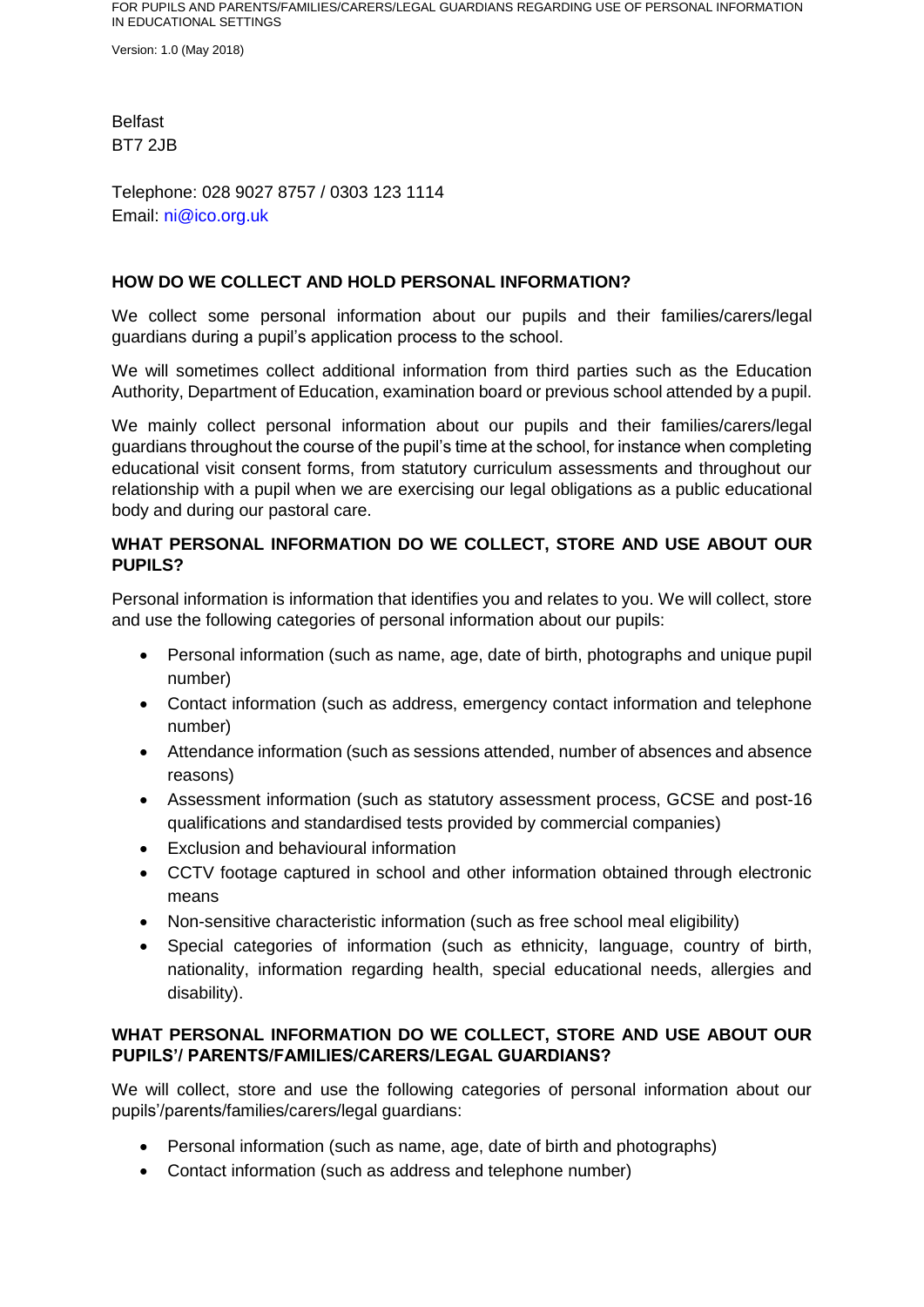Version: 1.0 (May 2018)

Belfast BT7 2JB

Telephone: 028 9027 8757 / 0303 123 1114 Email: ni@ico.org.uk

# **HOW DO WE COLLECT AND HOLD PERSONAL INFORMATION?**

We collect some personal information about our pupils and their families/carers/legal guardians during a pupil's application process to the school.

We will sometimes collect additional information from third parties such as the Education Authority, Department of Education, examination board or previous school attended by a pupil.

We mainly collect personal information about our pupils and their families/carers/legal guardians throughout the course of the pupil's time at the school, for instance when completing educational visit consent forms, from statutory curriculum assessments and throughout our relationship with a pupil when we are exercising our legal obligations as a public educational body and during our pastoral care.

# **WHAT PERSONAL INFORMATION DO WE COLLECT, STORE AND USE ABOUT OUR PUPILS?**

Personal information is information that identifies you and relates to you. We will collect, store and use the following categories of personal information about our pupils:

- Personal information (such as name, age, date of birth, photographs and unique pupil number)
- Contact information (such as address, emergency contact information and telephone number)
- Attendance information (such as sessions attended, number of absences and absence reasons)
- Assessment information (such as statutory assessment process, GCSE and post-16 qualifications and standardised tests provided by commercial companies)
- Exclusion and behavioural information
- CCTV footage captured in school and other information obtained through electronic means
- Non-sensitive characteristic information (such as free school meal eligibility)
- Special categories of information (such as ethnicity, language, country of birth, nationality, information regarding health, special educational needs, allergies and disability).

## **WHAT PERSONAL INFORMATION DO WE COLLECT, STORE AND USE ABOUT OUR PUPILS'/ PARENTS/FAMILIES/CARERS/LEGAL GUARDIANS?**

We will collect, store and use the following categories of personal information about our pupils'/parents/families/carers/legal guardians:

- Personal information (such as name, age, date of birth and photographs)
- Contact information (such as address and telephone number)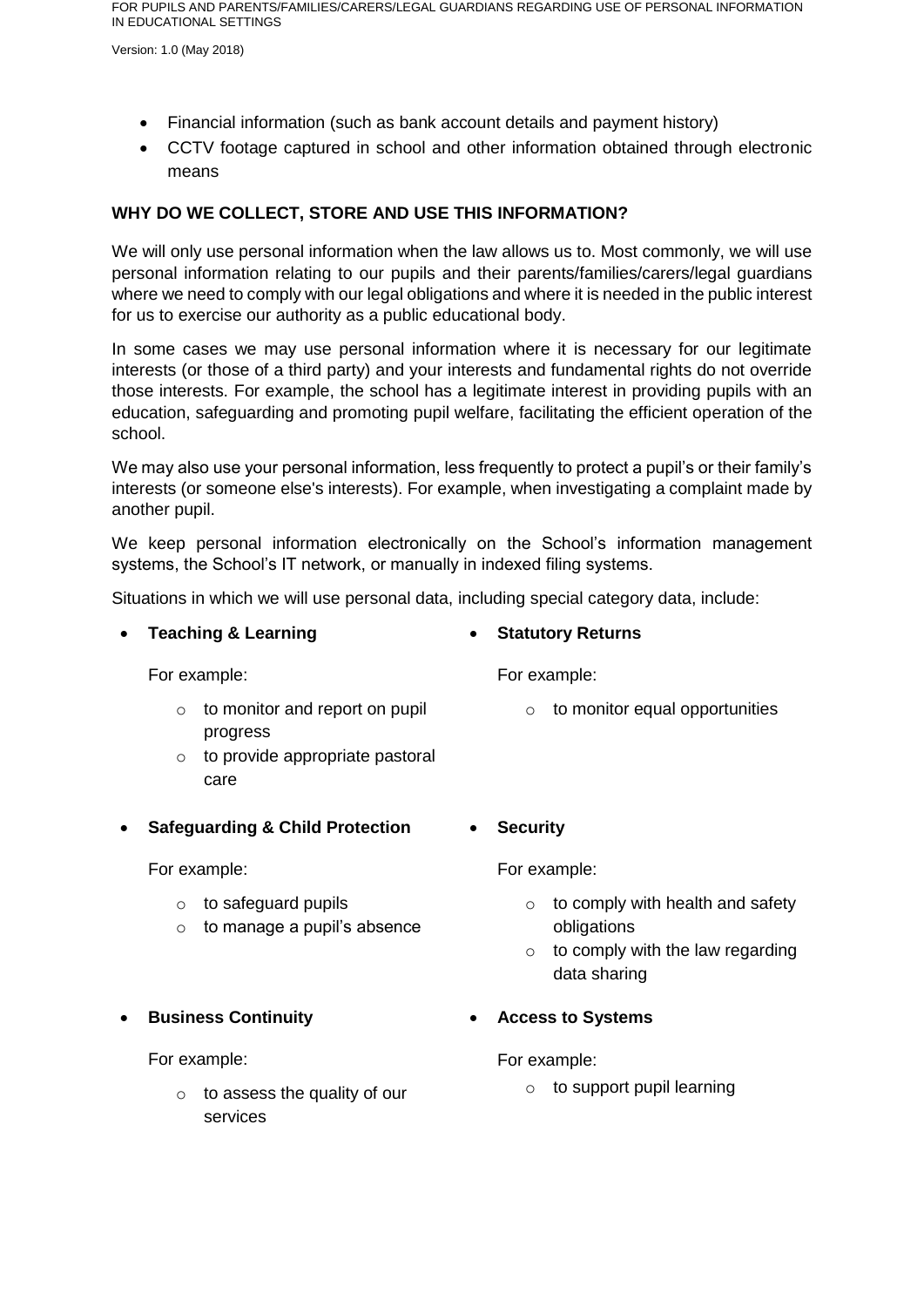Version: 1.0 (May 2018)

- Financial information (such as bank account details and payment history)
- CCTV footage captured in school and other information obtained through electronic means

## **WHY DO WE COLLECT, STORE AND USE THIS INFORMATION?**

We will only use personal information when the law allows us to. Most commonly, we will use personal information relating to our pupils and their parents/families/carers/legal guardians where we need to comply with our legal obligations and where it is needed in the public interest for us to exercise our authority as a public educational body.

In some cases we may use personal information where it is necessary for our legitimate interests (or those of a third party) and your interests and fundamental rights do not override those interests. For example, the school has a legitimate interest in providing pupils with an education, safeguarding and promoting pupil welfare, facilitating the efficient operation of the school.

We may also use your personal information, less frequently to protect a pupil's or their family's interests (or someone else's interests). For example, when investigating a complaint made by another pupil.

We keep personal information electronically on the School's information management systems, the School's IT network, or manually in indexed filing systems.

Situations in which we will use personal data, including special category data, include:

### **Teaching & Learning**

For example:

- $\circ$  to monitor and report on pupil progress
- o to provide appropriate pastoral care
- **Safeguarding & Child Protection**

For example:

- o to safeguard pupils
- $\circ$  to manage a pupil's absence

## **Business Continuity**

For example:

o to assess the quality of our services

# **Statutory Returns**

For example:

- $\circ$  to monitor equal opportunities
- **Security**

For example:

- $\circ$  to comply with health and safety obligations
- $\circ$  to comply with the law regarding data sharing
- **Access to Systems**

For example:

o to support pupil learning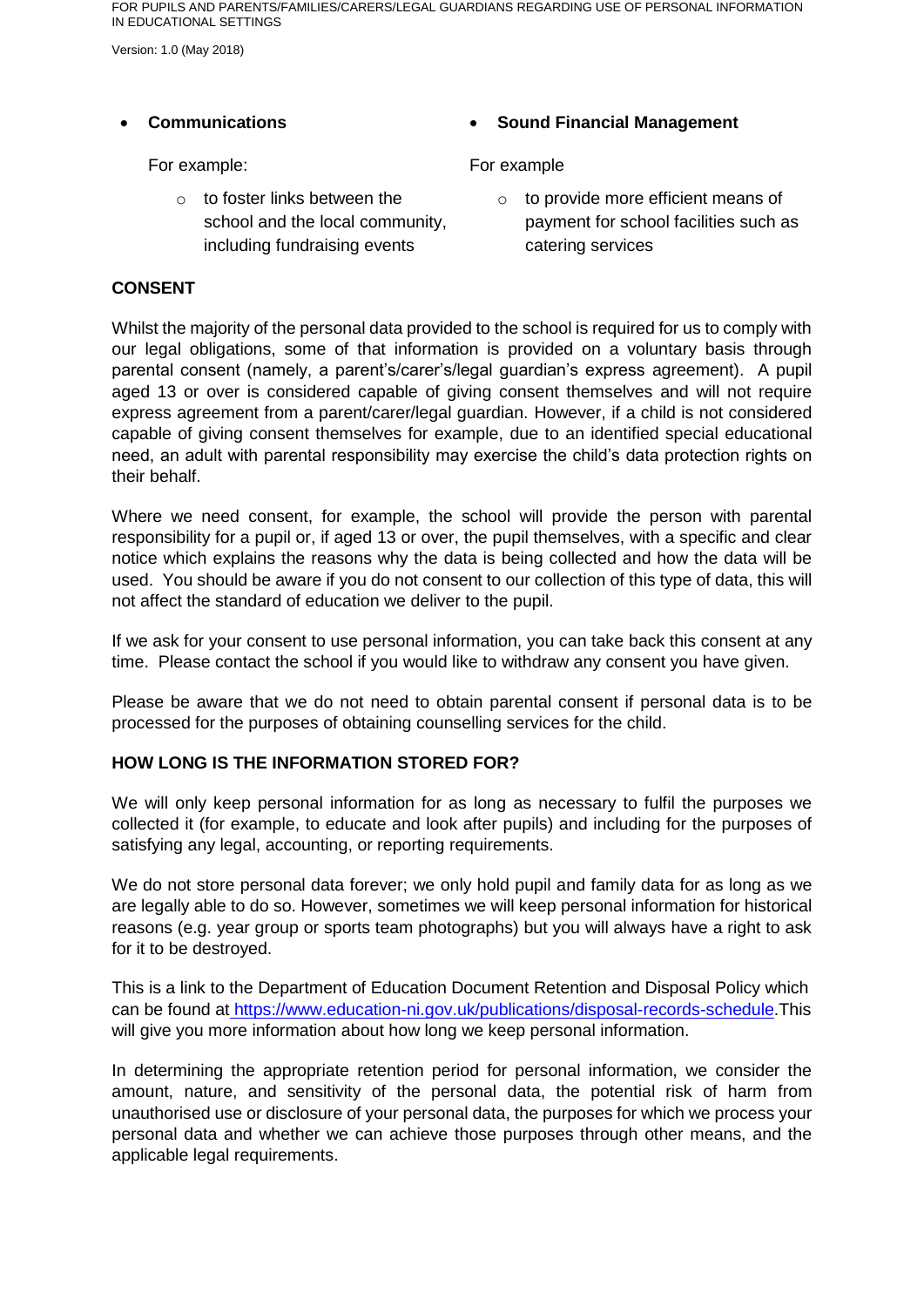Version: 1.0 (May 2018)

### **Communications**

For example:

o to foster links between the school and the local community, including fundraising events

# **Sound Financial Management**

### For example

o to provide more efficient means of payment for school facilities such as catering services

### **CONSENT**

Whilst the majority of the personal data provided to the school is required for us to comply with our legal obligations, some of that information is provided on a voluntary basis through parental consent (namely, a parent's/carer's/legal guardian's express agreement). A pupil aged 13 or over is considered capable of giving consent themselves and will not require express agreement from a parent/carer/legal guardian. However, if a child is not considered capable of giving consent themselves for example, due to an identified special educational need, an adult with parental responsibility may exercise the child's data protection rights on their behalf.

Where we need consent, for example, the school will provide the person with parental responsibility for a pupil or, if aged 13 or over, the pupil themselves, with a specific and clear notice which explains the reasons why the data is being collected and how the data will be used. You should be aware if you do not consent to our collection of this type of data, this will not affect the standard of education we deliver to the pupil.

If we ask for your consent to use personal information, you can take back this consent at any time. Please contact the school if you would like to withdraw any consent you have given.

Please be aware that we do not need to obtain parental consent if personal data is to be processed for the purposes of obtaining counselling services for the child.

## **HOW LONG IS THE INFORMATION STORED FOR?**

We will only keep personal information for as long as necessary to fulfil the purposes we collected it (for example, to educate and look after pupils) and including for the purposes of satisfying any legal, accounting, or reporting requirements.

We do not store personal data forever; we only hold pupil and family data for as long as we are legally able to do so. However, sometimes we will keep personal information for historical reasons (e.g. year group or sports team photographs) but you will always have a right to ask for it to be destroyed.

This is a link to the Department of Education Document Retention and Disposal Policy which can be found at [https://www.education-ni.gov.uk/publications/disposal-records-schedule.](https://www.education-ni.gov.uk/publications/disposal-records-schedule)This will give you more information about how long we keep personal information.

In determining the appropriate retention period for personal information, we consider the amount, nature, and sensitivity of the personal data, the potential risk of harm from unauthorised use or disclosure of your personal data, the purposes for which we process your personal data and whether we can achieve those purposes through other means, and the applicable legal requirements.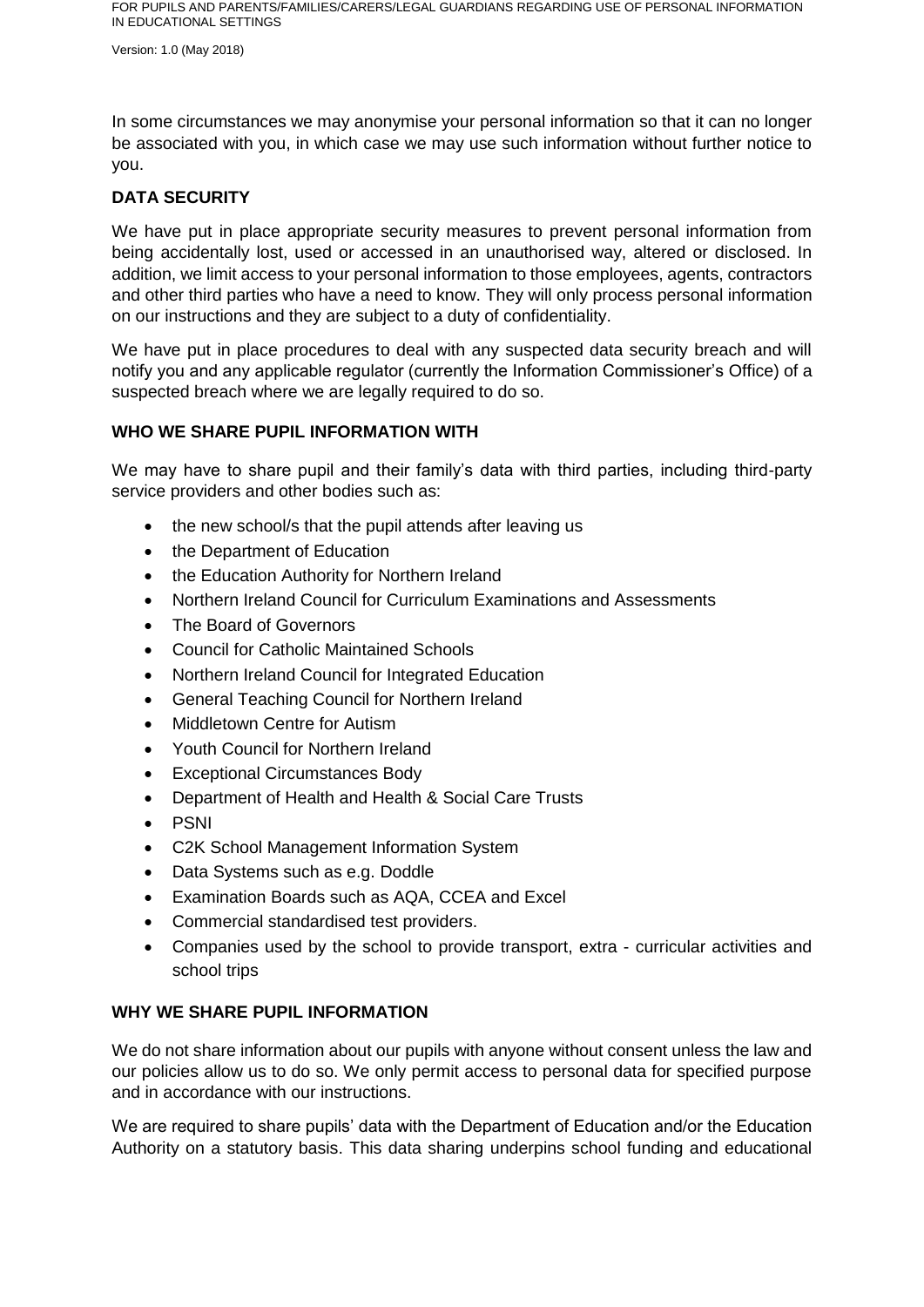Version: 1.0 (May 2018)

In some circumstances we may anonymise your personal information so that it can no longer be associated with you, in which case we may use such information without further notice to you.

# **DATA SECURITY**

We have put in place appropriate security measures to prevent personal information from being accidentally lost, used or accessed in an unauthorised way, altered or disclosed. In addition, we limit access to your personal information to those employees, agents, contractors and other third parties who have a need to know. They will only process personal information on our instructions and they are subject to a duty of confidentiality.

We have put in place procedures to deal with any suspected data security breach and will notify you and any applicable regulator (currently the Information Commissioner's Office) of a suspected breach where we are legally required to do so.

### **WHO WE SHARE PUPIL INFORMATION WITH**

We may have to share pupil and their family's data with third parties, including third-party service providers and other bodies such as:

- the new school/s that the pupil attends after leaving us
- the Department of Education
- the Education Authority for Northern Ireland
- Northern Ireland Council for Curriculum Examinations and Assessments
- The Board of Governors
- Council for Catholic Maintained Schools
- Northern Ireland Council for Integrated Education
- General Teaching Council for Northern Ireland
- Middletown Centre for Autism
- Youth Council for Northern Ireland
- Exceptional Circumstances Body
- Department of Health and Health & Social Care Trusts
- PSNI
- C2K School Management Information System
- Data Systems such as e.g. Doddle
- Examination Boards such as AQA, CCEA and Excel
- Commercial standardised test providers.
- Companies used by the school to provide transport, extra curricular activities and school trips

#### **WHY WE SHARE PUPIL INFORMATION**

We do not share information about our pupils with anyone without consent unless the law and our policies allow us to do so. We only permit access to personal data for specified purpose and in accordance with our instructions.

We are required to share pupils' data with the Department of Education and/or the Education Authority on a statutory basis. This data sharing underpins school funding and educational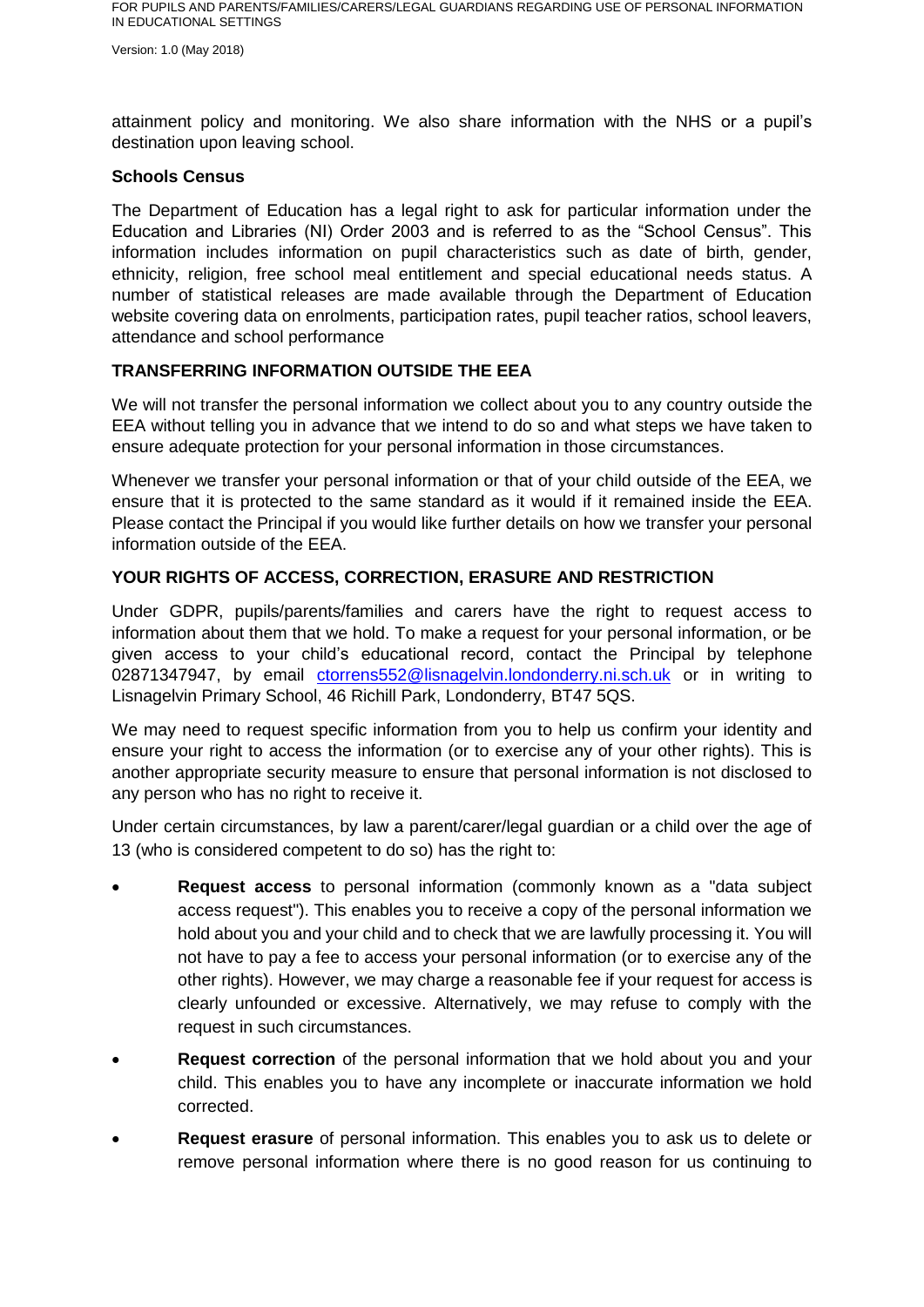Version: 1.0 (May 2018)

attainment policy and monitoring. We also share information with the NHS or a pupil's destination upon leaving school.

#### **Schools Census**

The Department of Education has a legal right to ask for particular information under the Education and Libraries (NI) Order 2003 and is referred to as the "School Census". This information includes information on pupil characteristics such as date of birth, gender, ethnicity, religion, free school meal entitlement and special educational needs status. A number of statistical releases are made available through the Department of Education website covering data on enrolments, participation rates, pupil teacher ratios, school leavers, attendance and school performance

## **TRANSFERRING INFORMATION OUTSIDE THE EEA**

We will not transfer the personal information we collect about you to any country outside the EEA without telling you in advance that we intend to do so and what steps we have taken to ensure adequate protection for your personal information in those circumstances.

Whenever we transfer your personal information or that of your child outside of the EEA, we ensure that it is protected to the same standard as it would if it remained inside the EEA. Please contact the Principal if you would like further details on how we transfer your personal information outside of the EEA.

## **YOUR RIGHTS OF ACCESS, CORRECTION, ERASURE AND RESTRICTION**

Under GDPR, pupils/parents/families and carers have the right to request access to information about them that we hold. To make a request for your personal information, or be given access to your child's educational record, contact the Principal by telephone 02871347947, by email ctorrens552@lisnagelvin.londonderry.ni.sch.uk or in writing to Lisnagelvin Primary School, 46 Richill Park, Londonderry, BT47 5QS.

We may need to request specific information from you to help us confirm your identity and ensure your right to access the information (or to exercise any of your other rights). This is another appropriate security measure to ensure that personal information is not disclosed to any person who has no right to receive it.

Under certain circumstances, by law a parent/carer/legal guardian or a child over the age of 13 (who is considered competent to do so) has the right to:

- **Request access** to personal information (commonly known as a "data subject access request"). This enables you to receive a copy of the personal information we hold about you and your child and to check that we are lawfully processing it. You will not have to pay a fee to access your personal information (or to exercise any of the other rights). However, we may charge a reasonable fee if your request for access is clearly unfounded or excessive. Alternatively, we may refuse to comply with the request in such circumstances.
- **Request correction** of the personal information that we hold about you and your child. This enables you to have any incomplete or inaccurate information we hold corrected.
- **Request erasure** of personal information. This enables you to ask us to delete or remove personal information where there is no good reason for us continuing to